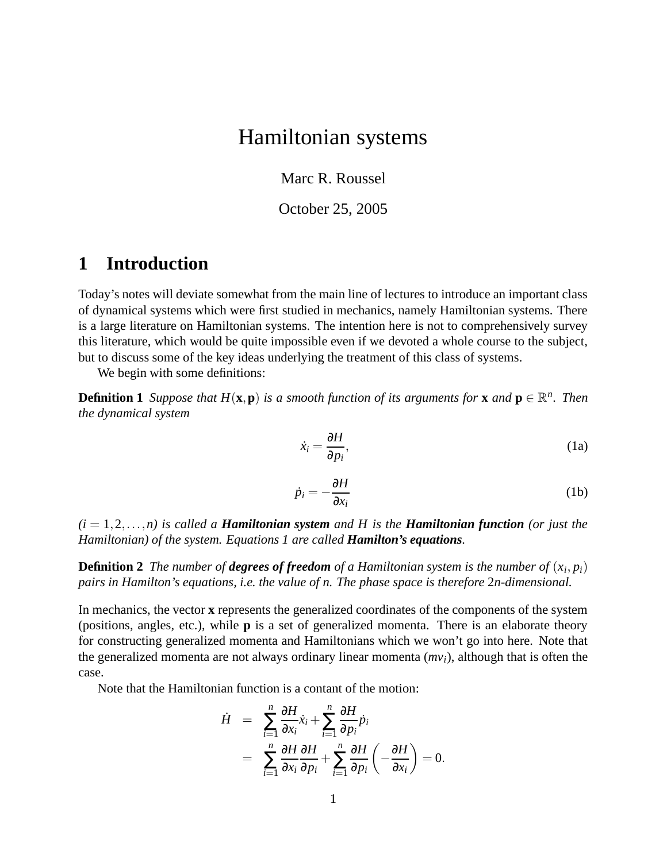# Hamiltonian systems

Marc R. Roussel

October 25, 2005

## **1 Introduction**

Today's notes will deviate somewhat from the main line of lectures to introduce an important class of dynamical systems which were first studied in mechanics, namely Hamiltonian systems. There is a large literature on Hamiltonian systems. The intention here is not to comprehensively survey this literature, which would be quite impossible even if we devoted a whole course to the subject, but to discuss some of the key ideas underlying the treatment of this class of systems.

We begin with some definitions:

**Definition 1** Suppose that  $H(\mathbf{x}, \mathbf{p})$  is a smooth function of its arguments for  $\mathbf{x}$  and  $\mathbf{p} \in \mathbb{R}^n$ . Then *the dynamical system*

$$
\dot{x}_i = \frac{\partial H}{\partial p_i},\tag{1a}
$$

$$
\dot{p}_i = -\frac{\partial H}{\partial x_i} \tag{1b}
$$

 $(i = 1, 2, \ldots, n)$  *is called a Hamiltonian system and H is the Hamiltonian function (or just the Hamiltonian) of the system. Equations 1 are called Hamilton's equations.*

**Definition 2** The number of **degrees of freedom** of a Hamiltonian system is the number of  $(x_i, p_i)$ *pairs in Hamilton's equations, i.e. the value of n. The phase space is therefore* 2*n-dimensional.*

In mechanics, the vector **x** represents the generalized coordinates of the components of the system (positions, angles, etc.), while **p** is a set of generalized momenta. There is an elaborate theory for constructing generalized momenta and Hamiltonians which we won't go into here. Note that the generalized momenta are not always ordinary linear momenta (*mvi*), although that is often the case.

Note that the Hamiltonian function is a contant of the motion:

$$
\dot{H} = \sum_{i=1}^{n} \frac{\partial H}{\partial x_i} \dot{x}_i + \sum_{i=1}^{n} \frac{\partial H}{\partial p_i} \dot{p}_i
$$
  
= 
$$
\sum_{i=1}^{n} \frac{\partial H}{\partial x_i} \frac{\partial H}{\partial p_i} + \sum_{i=1}^{n} \frac{\partial H}{\partial p_i} \left( -\frac{\partial H}{\partial x_i} \right) = 0.
$$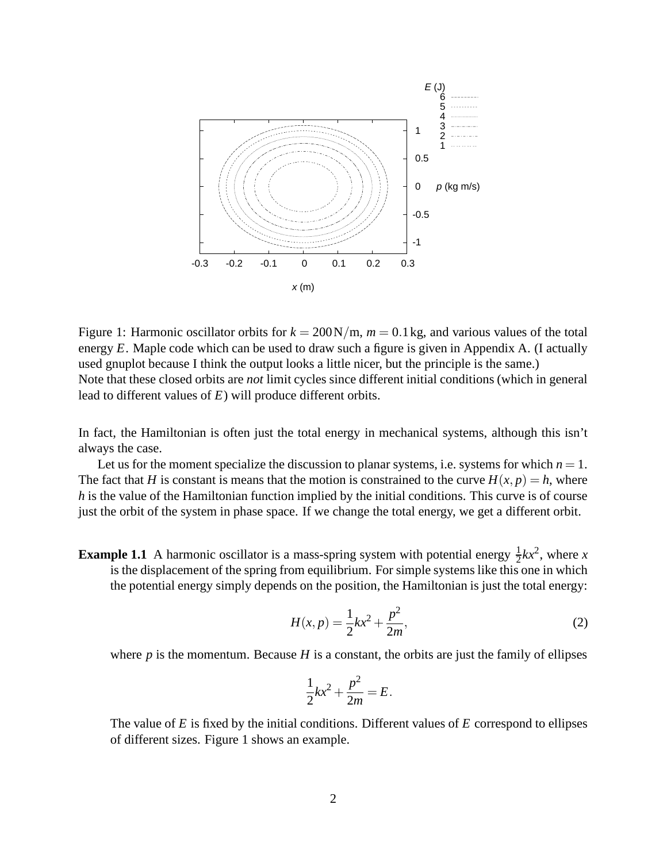

Figure 1: Harmonic oscillator orbits for  $k = 200 \text{N/m}$ ,  $m = 0.1 \text{ kg}$ , and various values of the total energy *E*. Maple code which can be used to draw such a figure is given in Appendix A. (I actually used gnuplot because I think the output looks a little nicer, but the principle is the same.) Note that these closed orbits are *not* limit cycles since different initial conditions (which in general lead to different values of *E*) will produce different orbits.

In fact, the Hamiltonian is often just the total energy in mechanical systems, although this isn't always the case.

Let us for the moment specialize the discussion to planar systems, i.e. systems for which  $n = 1$ . The fact that *H* is constant is means that the motion is constrained to the curve  $H(x, p) = h$ , where *h* is the value of the Hamiltonian function implied by the initial conditions. This curve is of course just the orbit of the system in phase space. If we change the total energy, we get a different orbit.

**Example 1.1** A harmonic oscillator is a mass-spring system with potential energy  $\frac{1}{2}kx^2$ , where *x* is the displacement of the spring from equilibrium. For simple systems like this one in which the potential energy simply depends on the position, the Hamiltonian is just the total energy:

$$
H(x,p) = \frac{1}{2}kx^2 + \frac{p^2}{2m},
$$
\n(2)

where  $p$  is the momentum. Because  $H$  is a constant, the orbits are just the family of ellipses

$$
\frac{1}{2}kx^2 + \frac{p^2}{2m} = E.
$$

The value of *E* is fixed by the initial conditions. Different values of *E* correspond to ellipses of different sizes. Figure 1 shows an example.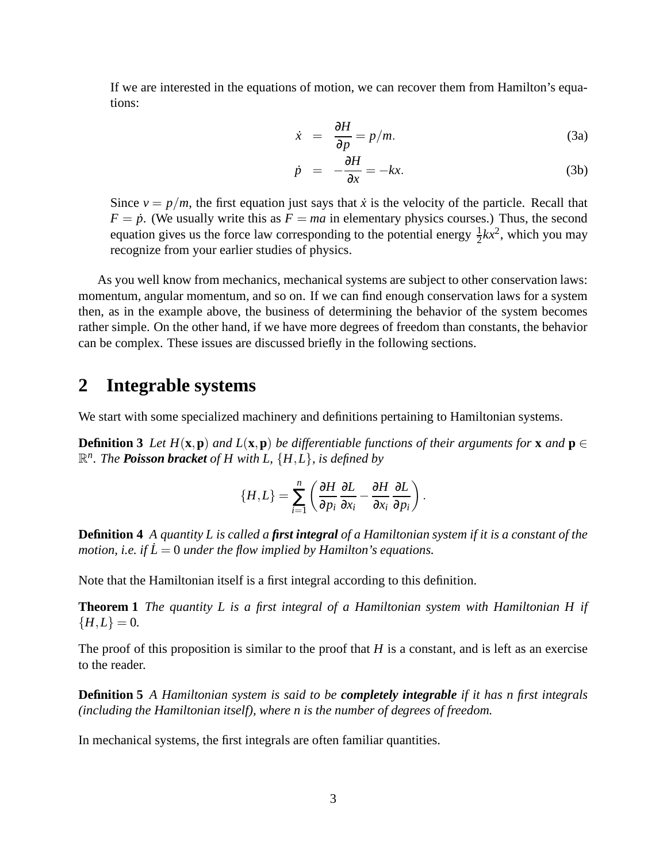If we are interested in the equations of motion, we can recover them from Hamilton's equations:

$$
\dot{x} = \frac{\partial H}{\partial p} = p/m.
$$
 (3a)

$$
\dot{p} = -\frac{\partial H}{\partial x} = -kx. \tag{3b}
$$

Since  $v = p/m$ , the first equation just says that *x* is the velocity of the particle. Recall that  $F = \dot{p}$ . (We usually write this as  $F = ma$  in elementary physics courses.) Thus, the second equation gives us the force law corresponding to the potential energy  $\frac{1}{2}kx^2$ , which you may recognize from your earlier studies of physics.

As you well know from mechanics, mechanical systems are subject to other conservation laws: momentum, angular momentum, and so on. If we can find enough conservation laws for a system then, as in the example above, the business of determining the behavior of the system becomes rather simple. On the other hand, if we have more degrees of freedom than constants, the behavior can be complex. These issues are discussed briefly in the following sections.

#### **2 Integrable systems**

We start with some specialized machinery and definitions pertaining to Hamiltonian systems.

**Definition 3** Let  $H(\mathbf{x}, \mathbf{p})$  and  $L(\mathbf{x}, \mathbf{p})$  be differentiable functions of their arguments for **x** and  $\mathbf{p} \in$ R *n . The Poisson bracket of H with L,* {*H*,*L*}*, is defined by*

$$
\{H,L\}=\sum_{i=1}^n\left(\frac{\partial H}{\partial p_i}\frac{\partial L}{\partial x_i}-\frac{\partial H}{\partial x_i}\frac{\partial L}{\partial p_i}\right).
$$

**Definition 4** A quantity L is called a first integral of a Hamiltonian system if it is a constant of the *motion, i.e. if*  $\dot{L} = 0$  *under the flow implied by Hamilton's equations.* 

Note that the Hamiltonian itself is a first integral according to this definition.

**Theorem 1** *The quantity L is a first integral of a Hamiltonian system with Hamiltonian H if*  ${H,L} = 0.$ 

The proof of this proposition is similar to the proof that *H* is a constant, and is left as an exercise to the reader.

**Definition 5** *A Hamiltonian system is said to be completely integrable if it has n first integrals (including the Hamiltonian itself), where n is the number of degrees of freedom.*

In mechanical systems, the first integrals are often familiar quantities.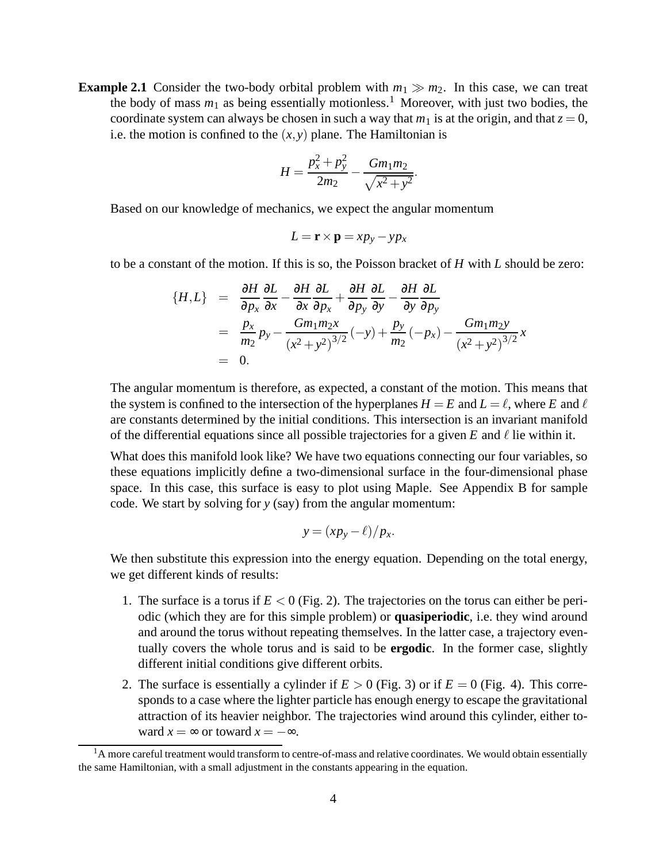**Example 2.1** Consider the two-body orbital problem with  $m_1 \gg m_2$ . In this case, we can treat the body of mass  $m_1$  as being essentially motionless.<sup>1</sup> Moreover, with just two bodies, the coordinate system can always be chosen in such a way that  $m_1$  is at the origin, and that  $z = 0$ , i.e. the motion is confined to the  $(x, y)$  plane. The Hamiltonian is

$$
H = \frac{p_x^2 + p_y^2}{2m_2} - \frac{Gm_1m_2}{\sqrt{x^2 + y^2}}.
$$

Based on our knowledge of mechanics, we expect the angular momentum

$$
L = \mathbf{r} \times \mathbf{p} = x p_y - y p_x
$$

to be a constant of the motion. If this is so, the Poisson bracket of *H* with *L* should be zero:

$$
\{H, L\} = \frac{\partial H}{\partial p_x} \frac{\partial L}{\partial x} - \frac{\partial H}{\partial x} \frac{\partial L}{\partial p_x} + \frac{\partial H}{\partial p_y} \frac{\partial L}{\partial y} - \frac{\partial H}{\partial y} \frac{\partial L}{\partial p_y}
$$
  
= 
$$
\frac{p_x}{m_2} p_y - \frac{Gm_1 m_2 x}{(x^2 + y^2)^{3/2}} (-y) + \frac{p_y}{m_2} (-p_x) - \frac{Gm_1 m_2 y}{(x^2 + y^2)^{3/2}} x
$$
  
= 0.

The angular momentum is therefore, as expected, a constant of the motion. This means that the system is confined to the intersection of the hyperplanes  $H = E$  and  $L = \ell$ , where *E* and  $\ell$ are constants determined by the initial conditions. This intersection is an invariant manifold of the differential equations since all possible trajectories for a given  $E$  and  $\ell$  lie within it.

What does this manifold look like? We have two equations connecting our four variables, so these equations implicitly define a two-dimensional surface in the four-dimensional phase space. In this case, this surface is easy to plot using Maple. See Appendix B for sample code. We start by solving for *y* (say) from the angular momentum:

$$
y=(xp_y-\ell)/p_x.
$$

We then substitute this expression into the energy equation. Depending on the total energy, we get different kinds of results:

- 1. The surface is a torus if  $E < 0$  (Fig. 2). The trajectories on the torus can either be periodic (which they are for this simple problem) or **quasiperiodic**, i.e. they wind around and around the torus without repeating themselves. In the latter case, a trajectory eventually covers the whole torus and is said to be **ergodic**. In the former case, slightly different initial conditions give different orbits.
- 2. The surface is essentially a cylinder if  $E > 0$  (Fig. 3) or if  $E = 0$  (Fig. 4). This corresponds to a case where the lighter particle has enough energy to escape the gravitational attraction of its heavier neighbor. The trajectories wind around this cylinder, either toward  $x = \infty$  or toward  $x = -\infty$ .

 $<sup>1</sup>A$  more careful treatment would transform to centre-of-mass and relative coordinates. We would obtain essentially</sup> the same Hamiltonian, with a small adjustment in the constants appearing in the equation.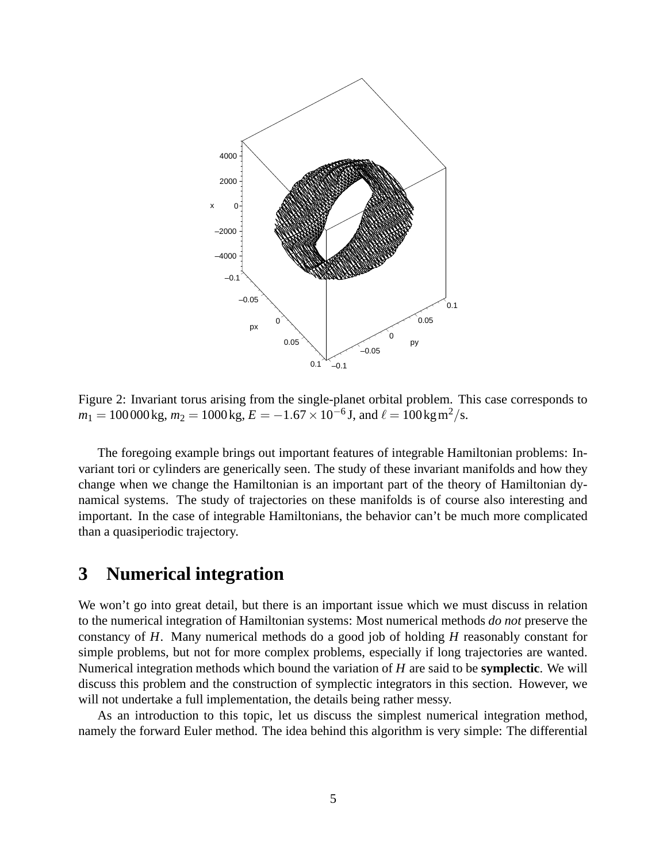

Figure 2: Invariant torus arising from the single-planet orbital problem. This case corresponds to  $m_1 = 100000 \,\text{kg}, m_2 = 1000 \,\text{kg}, E = -1.67 \times 10^{-6} \,\text{J}, \text{and } \ell = 100 \,\text{kg} \,\text{m}^2/\text{s}.$ 

The foregoing example brings out important features of integrable Hamiltonian problems: Invariant tori or cylinders are generically seen. The study of these invariant manifolds and how they change when we change the Hamiltonian is an important part of the theory of Hamiltonian dynamical systems. The study of trajectories on these manifolds is of course also interesting and important. In the case of integrable Hamiltonians, the behavior can't be much more complicated than a quasiperiodic trajectory.

#### **3 Numerical integration**

We won't go into great detail, but there is an important issue which we must discuss in relation to the numerical integration of Hamiltonian systems: Most numerical methods *do not* preserve the constancy of *H*. Many numerical methods do a good job of holding *H* reasonably constant for simple problems, but not for more complex problems, especially if long trajectories are wanted. Numerical integration methods which bound the variation of *H* are said to be **symplectic**. We will discuss this problem and the construction of symplectic integrators in this section. However, we will not undertake a full implementation, the details being rather messy.

As an introduction to this topic, let us discuss the simplest numerical integration method, namely the forward Euler method. The idea behind this algorithm is very simple: The differential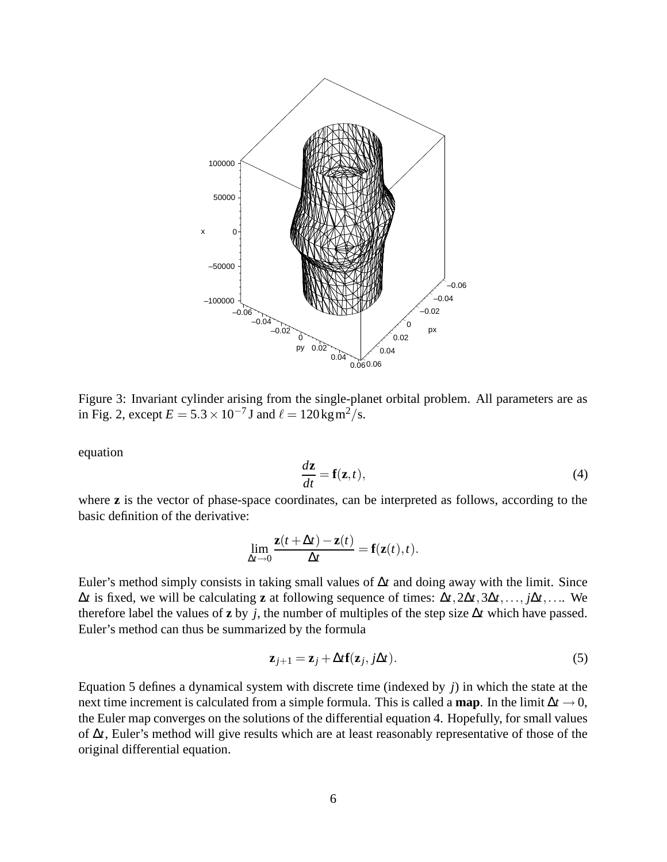

Figure 3: Invariant cylinder arising from the single-planet orbital problem. All parameters are as in Fig. 2, except  $E = 5.3 \times 10^{-7}$  J and  $\ell = 120 \text{kg m}^2/\text{s}$ .

equation

$$
\frac{d\mathbf{z}}{dt} = \mathbf{f}(\mathbf{z}, t),\tag{4}
$$

where **z** is the vector of phase-space coordinates, can be interpreted as follows, according to the basic definition of the derivative:

$$
\lim_{\Delta t \to 0} \frac{\mathbf{z}(t + \Delta t) - \mathbf{z}(t)}{\Delta t} = \mathbf{f}(\mathbf{z}(t), t).
$$

Euler's method simply consists in taking small values of ∆*t* and doing away with the limit. Since ∆*t* is fixed, we will be calculating **z** at following sequence of times: ∆*t*,2∆*t*,3∆*t*,..., *j*∆*t*,.... We therefore label the values of **z** by *j*, the number of multiples of the step size ∆*t* which have passed. Euler's method can thus be summarized by the formula

$$
\mathbf{z}_{j+1} = \mathbf{z}_j + \Delta t \mathbf{f}(\mathbf{z}_j, j\Delta t). \tag{5}
$$

Equation 5 defines a dynamical system with discrete time (indexed by *j*) in which the state at the next time increment is calculated from a simple formula. This is called a **map**. In the limit  $\Delta t \rightarrow 0$ , the Euler map converges on the solutions of the differential equation 4. Hopefully, for small values of ∆*t*, Euler's method will give results which are at least reasonably representative of those of the original differential equation.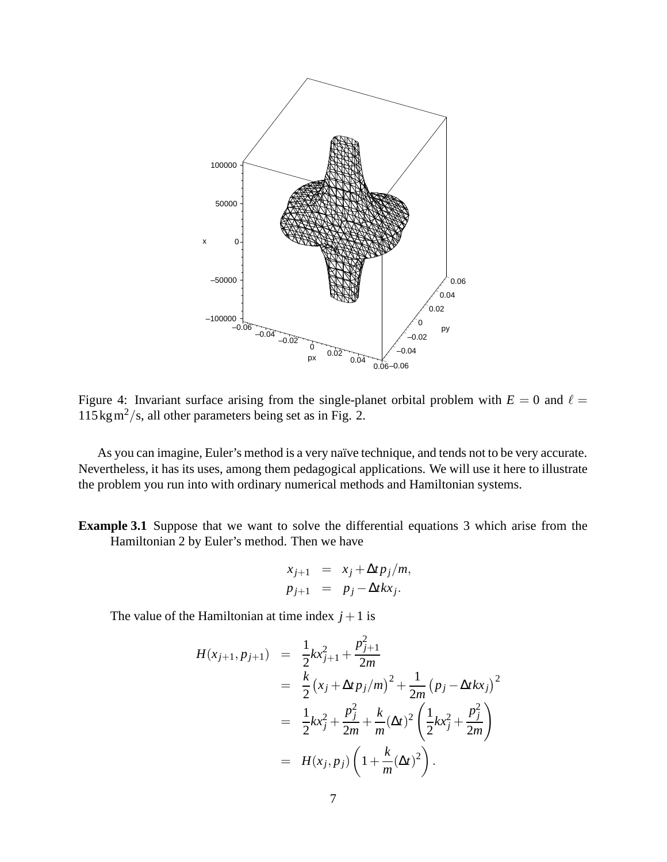

Figure 4: Invariant surface arising from the single-planet orbital problem with  $E = 0$  and  $\ell =$  $115 \text{kg m}^2/\text{s}$ , all other parameters being set as in Fig. 2.

As you can imagine, Euler's method is a very naïve technique, and tends not to be very accurate. Nevertheless, it has its uses, among them pedagogical applications. We will use it here to illustrate the problem you run into with ordinary numerical methods and Hamiltonian systems.

**Example 3.1** Suppose that we want to solve the differential equations 3 which arise from the Hamiltonian 2 by Euler's method. Then we have

$$
x_{j+1} = x_j + \Delta t p_j / m,
$$
  

$$
p_{j+1} = p_j - \Delta t k x_j.
$$

The value of the Hamiltonian at time index  $j+1$  is

$$
H(x_{j+1}, p_{j+1}) = \frac{1}{2}kx_{j+1}^2 + \frac{p_{j+1}^2}{2m}
$$
  
=  $\frac{k}{2}(x_j + \Delta t p_j/m)^2 + \frac{1}{2m}(p_j - \Delta t k x_j)^2$   
=  $\frac{1}{2}kx_j^2 + \frac{p_j^2}{2m} + \frac{k}{m}(\Delta t)^2 \left(\frac{1}{2}kx_j^2 + \frac{p_j^2}{2m}\right)$   
=  $H(x_j, p_j) \left(1 + \frac{k}{m}(\Delta t)^2\right).$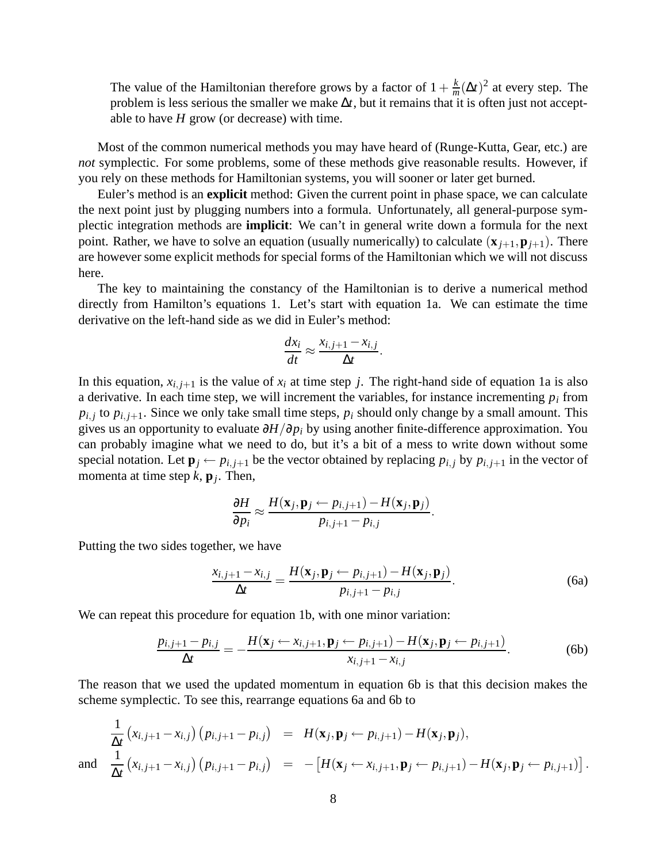The value of the Hamiltonian therefore grows by a factor of  $1+\frac{k}{n}$  $\frac{k}{m}(\Delta t)^2$  at every step. The problem is less serious the smaller we make ∆*t*, but it remains that it is often just not acceptable to have *H* grow (or decrease) with time.

Most of the common numerical methods you may have heard of (Runge-Kutta, Gear, etc.) are *not* symplectic. For some problems, some of these methods give reasonable results. However, if you rely on these methods for Hamiltonian systems, you will sooner or later get burned.

Euler's method is an **explicit** method: Given the current point in phase space, we can calculate the next point just by plugging numbers into a formula. Unfortunately, all general-purpose symplectic integration methods are **implicit**: We can't in general write down a formula for the next point. Rather, we have to solve an equation (usually numerically) to calculate  $(\mathbf{x}_{i+1}, \mathbf{p}_{i+1})$ . There are however some explicit methods for special forms of the Hamiltonian which we will not discuss here.

The key to maintaining the constancy of the Hamiltonian is to derive a numerical method directly from Hamilton's equations 1. Let's start with equation 1a. We can estimate the time derivative on the left-hand side as we did in Euler's method:

$$
\frac{dx_i}{dt} \approx \frac{x_{i,j+1} - x_{i,j}}{\Delta t}
$$

.

In this equation,  $x_{i,j+1}$  is the value of  $x_i$  at time step *j*. The right-hand side of equation 1a is also a derivative. In each time step, we will increment the variables, for instance incrementing  $p_i$  from  $p_{i,j}$  to  $p_{i,j+1}$ . Since we only take small time steps,  $p_i$  should only change by a small amount. This gives us an opportunity to evaluate ∂*H*/∂*p<sup>i</sup>* by using another finite-difference approximation. You can probably imagine what we need to do, but it's a bit of a mess to write down without some special notation. Let  $\mathbf{p}_i \leftarrow p_{i,j+1}$  be the vector obtained by replacing  $p_{i,j}$  by  $p_{i,j+1}$  in the vector of momenta at time step *k*, **p***<sup>j</sup>* . Then,

$$
\frac{\partial H}{\partial p_i} \approx \frac{H(\mathbf{x}_j, \mathbf{p}_j \leftarrow p_{i,j+1}) - H(\mathbf{x}_j, \mathbf{p}_j)}{p_{i,j+1} - p_{i,j}}.
$$

Putting the two sides together, we have

$$
\frac{x_{i,j+1} - x_{i,j}}{\Delta t} = \frac{H(\mathbf{x}_j, \mathbf{p}_j \leftarrow p_{i,j+1}) - H(\mathbf{x}_j, \mathbf{p}_j)}{p_{i,j+1} - p_{i,j}}.
$$
(6a)

We can repeat this procedure for equation 1b, with one minor variation:

$$
\frac{p_{i,j+1}-p_{i,j}}{\Delta t}=-\frac{H(\mathbf{x}_j\leftarrow x_{i,j+1},\mathbf{p}_j\leftarrow p_{i,j+1})-H(\mathbf{x}_j,\mathbf{p}_j\leftarrow p_{i,j+1})}{x_{i,j+1}-x_{i,j}}.\tag{6b}
$$

The reason that we used the updated momentum in equation 6b is that this decision makes the scheme symplectic. To see this, rearrange equations 6a and 6b to

$$
\frac{1}{\Delta t} (x_{i,j+1} - x_{i,j}) (p_{i,j+1} - p_{i,j}) = H(\mathbf{x}_j, \mathbf{p}_j \leftarrow p_{i,j+1}) - H(\mathbf{x}_j, \mathbf{p}_j),
$$
  
and 
$$
\frac{1}{\Delta t} (x_{i,j+1} - x_{i,j}) (p_{i,j+1} - p_{i,j}) = -[H(\mathbf{x}_j \leftarrow x_{i,j+1}, \mathbf{p}_j \leftarrow p_{i,j+1}) - H(\mathbf{x}_j, \mathbf{p}_j \leftarrow p_{i,j+1})].
$$